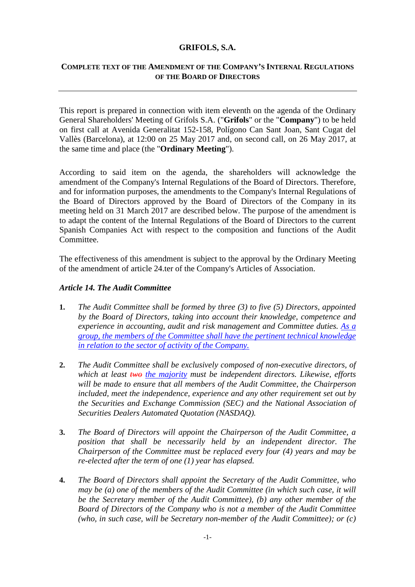## **GRIFOLS, S.A.**

## **COMPLETE TEXT OF THE AMENDMENT OF THE COMPANY'S INTERNAL REGULATIONS OF THE BOARD OF DIRECTORS**

This report is prepared in connection with item eleventh on the agenda of the Ordinary General Shareholders' Meeting of Grifols S.A. ("**Grifols**" or the "**Company**") to be held on first call at Avenida Generalitat 152-158, Polígono Can Sant Joan, Sant Cugat del Vallès (Barcelona), at 12:00 on 25 May 2017 and, on second call, on 26 May 2017, at the same time and place (the "**Ordinary Meeting**").

According to said item on the agenda, the shareholders will acknowledge the amendment of the Company's Internal Regulations of the Board of Directors. Therefore, and for information purposes, the amendments to the Company's Internal Regulations of the Board of Directors approved by the Board of Directors of the Company in its meeting held on 31 March 2017 are described below. The purpose of the amendment is to adapt the content of the Internal Regulations of the Board of Directors to the current Spanish Companies Act with respect to the composition and functions of the Audit Committee.

The effectiveness of this amendment is subject to the approval by the Ordinary Meeting of the amendment of article 24.ter of the Company's Articles of Association.

## *Article 14. The Audit Committee*

- **1.** *The Audit Committee shall be formed by three (3) to five (5) Directors, appointed by the Board of Directors, taking into account their knowledge, competence and experience in accounting, audit and risk management and Committee duties. As a group, the members of the Committee shall have the pertinent technical knowledge in relation to the sector of activity of the Company.*
- **2.** *The Audit Committee shall be exclusively composed of non-executive directors, of which at least two the majority must be independent directors. Likewise, efforts will be made to ensure that all members of the Audit Committee, the Chairperson included, meet the independence, experience and any other requirement set out by the Securities and Exchange Commission (SEC) and the National Association of Securities Dealers Automated Quotation (NASDAQ).*
- **3.** *The Board of Directors will appoint the Chairperson of the Audit Committee, a position that shall be necessarily held by an independent director. The Chairperson of the Committee must be replaced every four (4) years and may be re-elected after the term of one (1) year has elapsed.*
- **4.** *The Board of Directors shall appoint the Secretary of the Audit Committee, who may be (a) one of the members of the Audit Committee (in which such case, it will be the Secretary member of the Audit Committee), (b) any other member of the Board of Directors of the Company who is not a member of the Audit Committee (who, in such case, will be Secretary non-member of the Audit Committee); or (c)*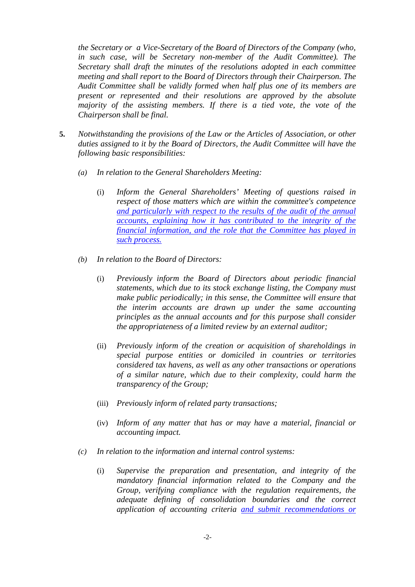*the Secretary or a Vice-Secretary of the Board of Directors of the Company (who, in such case, will be Secretary non-member of the Audit Committee). The Secretary shall draft the minutes of the resolutions adopted in each committee meeting and shall report to the Board of Directors through their Chairperson. The Audit Committee shall be validly formed when half plus one of its members are present or represented and their resolutions are approved by the absolute majority of the assisting members. If there is a tied vote, the vote of the Chairperson shall be final.* 

- **5.** *Notwithstanding the provisions of the Law or the Articles of Association, or other duties assigned to it by the Board of Directors, the Audit Committee will have the following basic responsibilities:* 
	- *(a) In relation to the General Shareholders Meeting:* 
		- (i) *Inform the General Shareholders' Meeting of questions raised in respect of those matters which are within the committee's competence and particularly with respect to the results of the audit of the annual accounts, explaining how it has contributed to the integrity of the financial information, and the role that the Committee has played in such process.*
	- *(b) In relation to the Board of Directors:* 
		- (i) *Previously inform the Board of Directors about periodic financial statements, which due to its stock exchange listing, the Company must make public periodically; in this sense, the Committee will ensure that the interim accounts are drawn up under the same accounting principles as the annual accounts and for this purpose shall consider the appropriateness of a limited review by an external auditor;*
		- (ii) *Previously inform of the creation or acquisition of shareholdings in special purpose entities or domiciled in countries or territories considered tax havens, as well as any other transactions or operations of a similar nature, which due to their complexity, could harm the transparency of the Group;*
		- (iii) *Previously inform of related party transactions;*
		- (iv) *Inform of any matter that has or may have a material, financial or accounting impact.*
	- *(c) In relation to the information and internal control systems:* 
		- (i) *Supervise the preparation and presentation, and integrity of the mandatory financial information related to the Company and the Group, verifying compliance with the regulation requirements, the adequate defining of consolidation boundaries and the correct application of accounting criteria and submit recommendations or*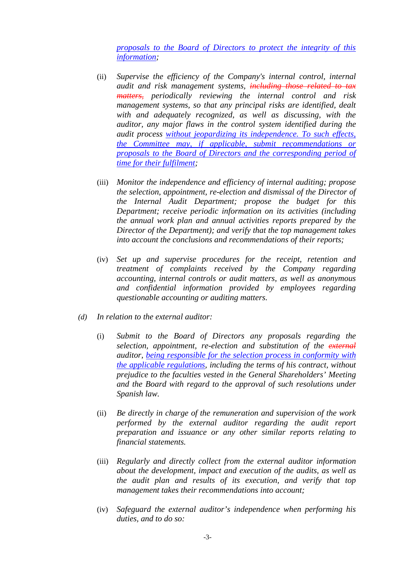*proposals to the Board of Directors to protect the integrity of this information;* 

- (ii) *Supervise the efficiency of the Company's internal control, internal audit and risk management systems, including those related to tax matters, periodically reviewing the internal control and risk management systems, so that any principal risks are identified, dealt with and adequately recognized, as well as discussing, with the auditor, any major flaws in the control system identified during the audit process without jeopardizing its independence. To such effects, the Committee may, if applicable, submit recommendations or proposals to the Board of Directors and the corresponding period of time for their fulfilment;*
- (iii) *Monitor the independence and efficiency of internal auditing; propose the selection, appointment, re-election and dismissal of the Director of the Internal Audit Department; propose the budget for this Department; receive periodic information on its activities (including the annual work plan and annual activities reports prepared by the Director of the Department); and verify that the top management takes into account the conclusions and recommendations of their reports;*
- (iv) *Set up and supervise procedures for the receipt, retention and treatment of complaints received by the Company regarding accounting, internal controls or audit matters, as well as anonymous and confidential information provided by employees regarding questionable accounting or auditing matters.*
- *(d) In relation to the external auditor:* 
	- (i) *Submit to the Board of Directors any proposals regarding the selection, appointment, re-election and substitution of the external auditor, being responsible for the selection process in conformity with the applicable regulations, including the terms of his contract, without prejudice to the faculties vested in the General Shareholders' Meeting and the Board with regard to the approval of such resolutions under Spanish law.*
	- (ii) *Be directly in charge of the remuneration and supervision of the work performed by the external auditor regarding the audit report preparation and issuance or any other similar reports relating to financial statements.*
	- (iii) *Regularly and directly collect from the external auditor information about the development, impact and execution of the audits, as well as the audit plan and results of its execution, and verify that top management takes their recommendations into account;*
	- (iv) *Safeguard the external auditor's independence when performing his duties, and to do so:*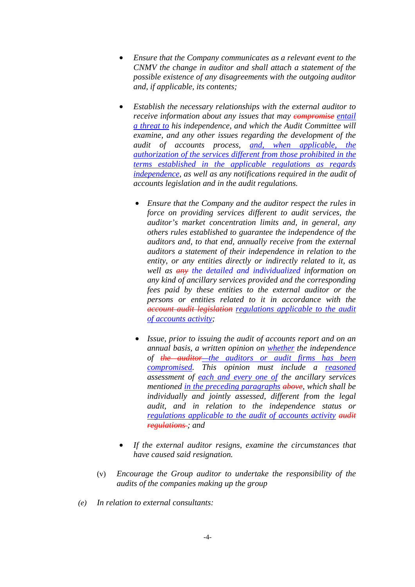- *Ensure that the Company communicates as a relevant event to the CNMV the change in auditor and shall attach a statement of the possible existence of any disagreements with the outgoing auditor and, if applicable, its contents;*
- *Establish the necessary relationships with the external auditor to receive information about any issues that may compromise entail a threat to his independence, and which the Audit Committee will examine, and any other issues regarding the development of the audit of accounts process, and, when applicable, the authorization of the services different from those prohibited in the terms established in the applicable regulations as regards independence, as well as any notifications required in the audit of accounts legislation and in the audit regulations.* 
	- *Ensure that the Company and the auditor respect the rules in force on providing services different to audit services, the auditor's market concentration limits and, in general, any others rules established to guarantee the independence of the auditors and, to that end, annually receive from the external auditors a statement of their independence in relation to the entity, or any entities directly or indirectly related to it, as well as any the detailed and individualized information on any kind of ancillary services provided and the corresponding fees paid by these entities to the external auditor or the persons or entities related to it in accordance with the account audit legislation regulations applicable to the audit of accounts activity;*
	- *Issue, prior to issuing the audit of accounts report and on an annual basis, a written opinion on whether the independence of the auditor the auditors or audit firms has been compromised. This opinion must include a reasoned assessment of each and every one of the ancillary services mentioned in the preceding paragraphs above, which shall be individually and jointly assessed, different from the legal audit, and in relation to the independence status or regulations applicable to the audit of accounts activity audit regulations ; and*
- *If the external auditor resigns, examine the circumstances that have caused said resignation.*
- (v) *Encourage the Group auditor to undertake the responsibility of the audits of the companies making up the group*
- *(e) In relation to external consultants:*